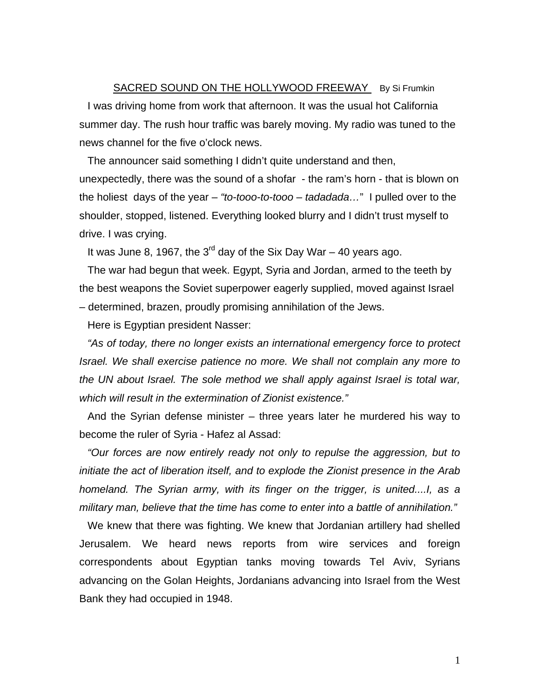SACRED SOUND ON THE HOLLYWOOD FREEWAY By Si Frumkin I was driving home from work that afternoon. It was the usual hot California summer day. The rush hour traffic was barely moving. My radio was tuned to the news channel for the five o'clock news.

The announcer said something I didn't quite understand and then, unexpectedly, there was the sound of a shofar - the ram's horn - that is blown on the holiest days of the year – *"to-tooo-to-tooo – tadadada…*" I pulled over to the shoulder, stopped, listened. Everything looked blurry and I didn't trust myself to drive. I was crying.

It was June 8, 1967, the  $3^{rd}$  day of the Six Day War – 40 years ago.

The war had begun that week. Egypt, Syria and Jordan, armed to the teeth by the best weapons the Soviet superpower eagerly supplied, moved against Israel – determined, brazen, proudly promising annihilation of the Jews.

Here is Egyptian president Nasser:

*"As of today, there no longer exists an international emergency force to protect Israel. We shall exercise patience no more. We shall not complain any more to the UN about Israel. The sole method we shall apply against Israel is total war, which will result in the extermination of Zionist existence."* 

And the Syrian defense minister – three years later he murdered his way to become the ruler of Syria - Hafez al Assad:

*"Our forces are now entirely ready not only to repulse the aggression, but to initiate the act of liberation itself, and to explode the Zionist presence in the Arab homeland. The Syrian army, with its finger on the trigger, is united....I, as a military man, believe that the time has come to enter into a battle of annihilation."* 

We knew that there was fighting. We knew that Jordanian artillery had shelled Jerusalem. We heard news reports from wire services and foreign correspondents about Egyptian tanks moving towards Tel Aviv, Syrians advancing on the Golan Heights, Jordanians advancing into Israel from the West Bank they had occupied in 1948.

1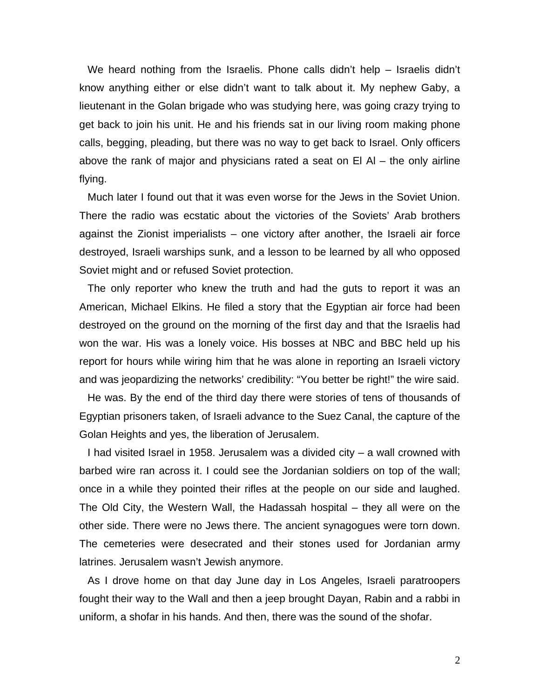We heard nothing from the Israelis. Phone calls didn't help – Israelis didn't know anything either or else didn't want to talk about it. My nephew Gaby, a lieutenant in the Golan brigade who was studying here, was going crazy trying to get back to join his unit. He and his friends sat in our living room making phone calls, begging, pleading, but there was no way to get back to Israel. Only officers above the rank of major and physicians rated a seat on El Al – the only airline flying.

Much later I found out that it was even worse for the Jews in the Soviet Union. There the radio was ecstatic about the victories of the Soviets' Arab brothers against the Zionist imperialists – one victory after another, the Israeli air force destroyed, Israeli warships sunk, and a lesson to be learned by all who opposed Soviet might and or refused Soviet protection.

The only reporter who knew the truth and had the guts to report it was an American, Michael Elkins. He filed a story that the Egyptian air force had been destroyed on the ground on the morning of the first day and that the Israelis had won the war. His was a lonely voice. His bosses at NBC and BBC held up his report for hours while wiring him that he was alone in reporting an Israeli victory and was jeopardizing the networks' credibility: "You better be right!" the wire said.

He was. By the end of the third day there were stories of tens of thousands of Egyptian prisoners taken, of Israeli advance to the Suez Canal, the capture of the Golan Heights and yes, the liberation of Jerusalem.

I had visited Israel in 1958. Jerusalem was a divided city – a wall crowned with barbed wire ran across it. I could see the Jordanian soldiers on top of the wall; once in a while they pointed their rifles at the people on our side and laughed. The Old City, the Western Wall, the Hadassah hospital – they all were on the other side. There were no Jews there. The ancient synagogues were torn down. The cemeteries were desecrated and their stones used for Jordanian army latrines. Jerusalem wasn't Jewish anymore.

As I drove home on that day June day in Los Angeles, Israeli paratroopers fought their way to the Wall and then a jeep brought Dayan, Rabin and a rabbi in uniform, a shofar in his hands. And then, there was the sound of the shofar.

2